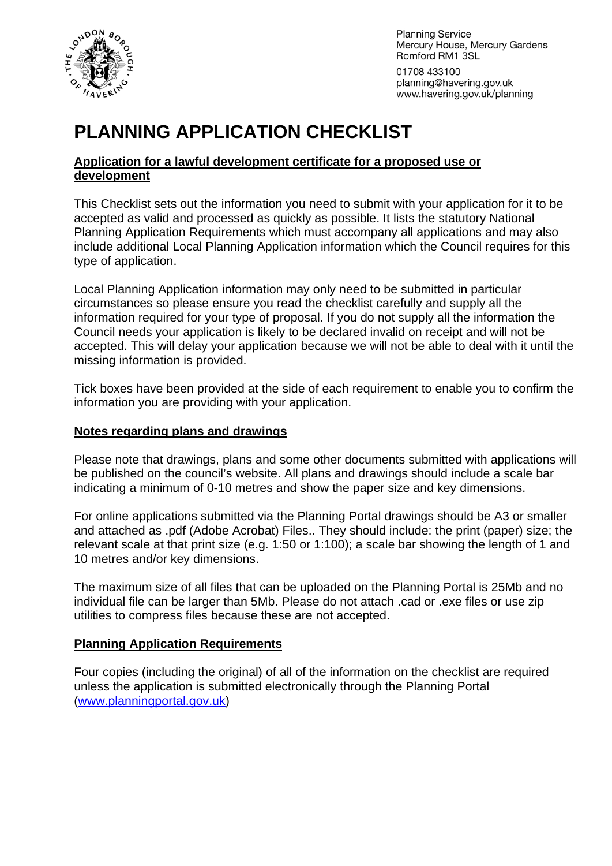

**Planning Service** Mercury House, Mercury Gardens Romford RM1 3SL

01708 433100 planning@havering.gov.uk www.havering.gov.uk/planning

# **PLANNING APPLICATION CHECKLIST**

#### **Application for a lawful development certificate for a proposed use or development**

This Checklist sets out the information you need to submit with your application for it to be accepted as valid and processed as quickly as possible. It lists the statutory National Planning Application Requirements which must accompany all applications and may also include additional Local Planning Application information which the Council requires for this type of application.

Local Planning Application information may only need to be submitted in particular circumstances so please ensure you read the checklist carefully and supply all the information required for your type of proposal. If you do not supply all the information the Council needs your application is likely to be declared invalid on receipt and will not be accepted. This will delay your application because we will not be able to deal with it until the missing information is provided.

Tick boxes have been provided at the side of each requirement to enable you to confirm the information you are providing with your application.

#### **Notes regarding plans and drawings**

Please note that drawings, plans and some other documents submitted with applications will be published on the council's website. All plans and drawings should include a scale bar indicating a minimum of 0-10 metres and show the paper size and key dimensions.

For online applications submitted via the Planning Portal drawings should be A3 or smaller and attached as .pdf (Adobe Acrobat) Files.. They should include: the print (paper) size; the relevant scale at that print size (e.g. 1:50 or 1:100); a scale bar showing the length of 1 and 10 metres and/or key dimensions.

The maximum size of all files that can be uploaded on the Planning Portal is 25Mb and no individual file can be larger than 5Mb. Please do not attach .cad or .exe files or use zip utilities to compress files because these are not accepted.

#### **Planning Application Requirements**

Four copies (including the original) of all of the information on the checklist are required unless the application is submitted electronically through the Planning Portal ([www.planningportal.gov.uk](http://www.planningportal.gov.uk/))